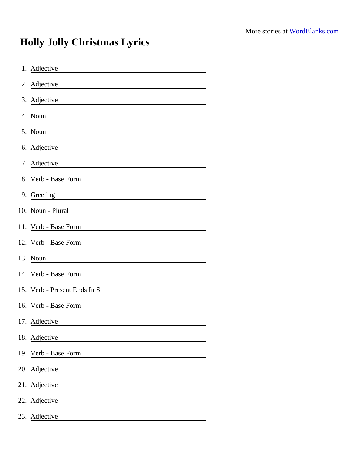## Holly Jolly Christmas Lyrics

| 1. Adjective                                                                                                                              |
|-------------------------------------------------------------------------------------------------------------------------------------------|
| 2. Adjective<br><u> 1989 - Johann Stoff, deutscher Stoffen und der Stoffen und der Stoffen und der Stoffen und der Stoffen und der</u>    |
| 3. Adjective<br><u> 1980 - Johann Barn, mars ann an t-Amhain Aonaich an t-Aonaich an t-Aonaich ann an t-Aonaich ann an t-Aonaich</u>      |
| 4. Noun                                                                                                                                   |
| 5. Noun                                                                                                                                   |
| 6. Adjective<br><u> 1980 - Johann Barn, amerikansk politiker (</u>                                                                        |
| 7. Adjective                                                                                                                              |
| 8. Verb - Base Form                                                                                                                       |
| 9. Greeting                                                                                                                               |
| 10. Noun - Plural<br><u> 1980 - Jan Stein Stein Stein Stein Stein Stein Stein Stein Stein Stein Stein Stein Stein Stein Stein Stein S</u> |
| 11. Verb - Base Form                                                                                                                      |
| 12. Verb - Base Form                                                                                                                      |
| 13. Noun                                                                                                                                  |
| 14. Verb - Base Form                                                                                                                      |
| 15. Verb - Present Ends In S                                                                                                              |
| 16. Verb - Base Form                                                                                                                      |
| 17. Adjective                                                                                                                             |
| 18. Adjective                                                                                                                             |
| 19. Verb - Base Form                                                                                                                      |
| 20. Adjective                                                                                                                             |
| 21. Adjective                                                                                                                             |
| 22. Adjective                                                                                                                             |
| 23. Adjective                                                                                                                             |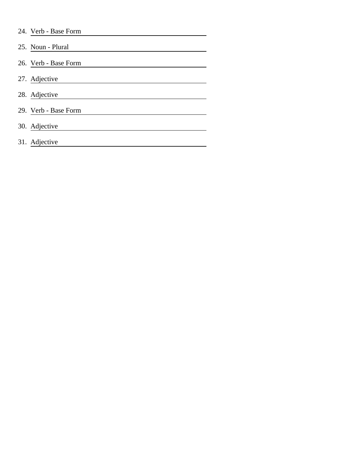| 24. Verb - Base Form |  |
|----------------------|--|
|                      |  |

25. Noun - Plural 26. Verb - Base Form 27. Adjective 28. Adjective 29. Verb - Base Form 30. Adjective 31. Adjective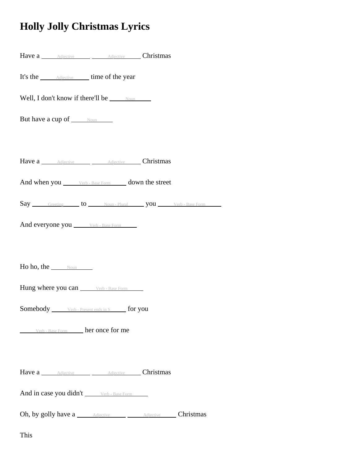## **Holly Jolly Christmas Lyrics**

| Have a Adjective Adjective Christmas                          |  |  |  |  |  |  |  |  |
|---------------------------------------------------------------|--|--|--|--|--|--|--|--|
| It's the <u>Adjective</u> time of the year                    |  |  |  |  |  |  |  |  |
| Well, I don't know if there'll be $\_\_\_\$                   |  |  |  |  |  |  |  |  |
| But have a cup of <u>Noun</u>                                 |  |  |  |  |  |  |  |  |
|                                                               |  |  |  |  |  |  |  |  |
| Have a Adjective Adjective Christmas                          |  |  |  |  |  |  |  |  |
| And when you ______ Verb - Base Form ______ down the street   |  |  |  |  |  |  |  |  |
| Say Greeting to Noun-Plural you Verb-Base Form                |  |  |  |  |  |  |  |  |
| And everyone you _______ Verb - Base Form ______              |  |  |  |  |  |  |  |  |
|                                                               |  |  |  |  |  |  |  |  |
| Ho ho, the $\frac{1}{\sqrt{1-\frac{1}{2}}}\$                  |  |  |  |  |  |  |  |  |
| Hung where you can Verb - Base Form                           |  |  |  |  |  |  |  |  |
| <b>Somebody</b> ______ Verb - Present ends in S _____ for you |  |  |  |  |  |  |  |  |
| Verb - Base Form her once for me                              |  |  |  |  |  |  |  |  |
|                                                               |  |  |  |  |  |  |  |  |
| Have a Adjective Adjective Christmas                          |  |  |  |  |  |  |  |  |
| And in case you didn't _______ Verb - Base Form ______        |  |  |  |  |  |  |  |  |
| Oh, by golly have a <u>Adjective Adjective</u> Christmas      |  |  |  |  |  |  |  |  |